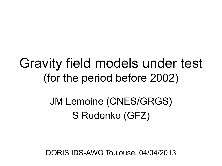## Gravity field models under test (for the period before 2002)

### JM Lemoine (CNES/GRGS) S Rudenko (GFZ)

DORIS IDS-AWG Toulouse, 04/04/2013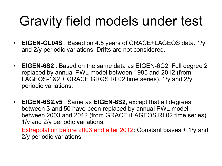# Gravity field models under test

- **EIGEN-GL04S** : Based on 4.5 years of GRACE+LAGEOS data. 1/y and 2/y periodic variations. Drifts are not considered.
- **EIGEN-6S2** : Based on the same data as EIGEN-6C2. Full degree 2 replaced by annual PWL model between 1985 and 2012 (from LAGEOS-1&2 + GRACE GRGS RL02 time series). 1/y and 2/y periodic variations.
- **EIGEN-6S2.v5** : Same as **EIGEN-6S2**, except that all degrees between 3 and 50 have been replaced by annual PWL model between 2003 and 2012 (from GRACE+LAGEOS RL02 time series). 1/y and 2/y periodic variations.

Extrapolation before 2003 and after 2012: Constant biases + 1/y and 2/y periodic variations.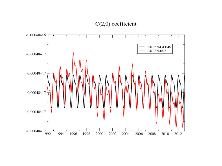### $C(2,0)$  coefficient

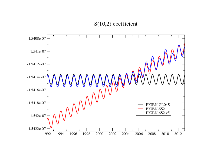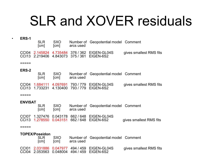# SLR and XOVER residuals

#### • **ERS-1**

| SI R<br>[cm] | <b>SXO</b><br>[cm] | arcs used | Number of Geopotential model Comment                                                         |                         |
|--------------|--------------------|-----------|----------------------------------------------------------------------------------------------|-------------------------|
|              |                    |           | CCI04 2.145824 4.735484 376 / 362 EIGEN-GL04S<br>CCI13 2.219406 4.843073 375 / 361 EIGEN-6S2 | gives smallest RMS fits |

#### =====

#### **ERS-2**

| SI R<br>[cm] | <b>SXO</b><br>[cm] | arcs used | Number of Geopotential model Comment                                                         |                         |
|--------------|--------------------|-----------|----------------------------------------------------------------------------------------------|-------------------------|
|              |                    |           | CCI04 1.684111 4.097691 793 / 779 EIGEN-GL04S<br>CCI13 1.733231 4.130400 793 / 779 EIGEN-6S2 | gives smallest RMS fits |

#### $=$

#### **ENVISAT**

- SLR SXO Number of Geopotential model Comment<br>
[cm] [cm] arcs used arcs used
- CCI07 1.327476 0.043178 662 / 648 EIGEN-GL04S CCI13 1.278550 0.043151 662 / 648 EIGEN-6S2 gives smallest RMS fits

#### =====

#### **TOPEX/Poseidon**

| SI R<br>[cm] | <b>SXO</b><br>[cm] | arcs used | Number of Geopotential model Comment                                                         |                         |
|--------------|--------------------|-----------|----------------------------------------------------------------------------------------------|-------------------------|
|              |                    |           | CCI01 2.031886 0.047977 494 / 459 EIGEN-GL04S<br>CCI04 2.053563 0.048004 494 / 459 EIGEN-6S2 | gives smallest RMS fits |